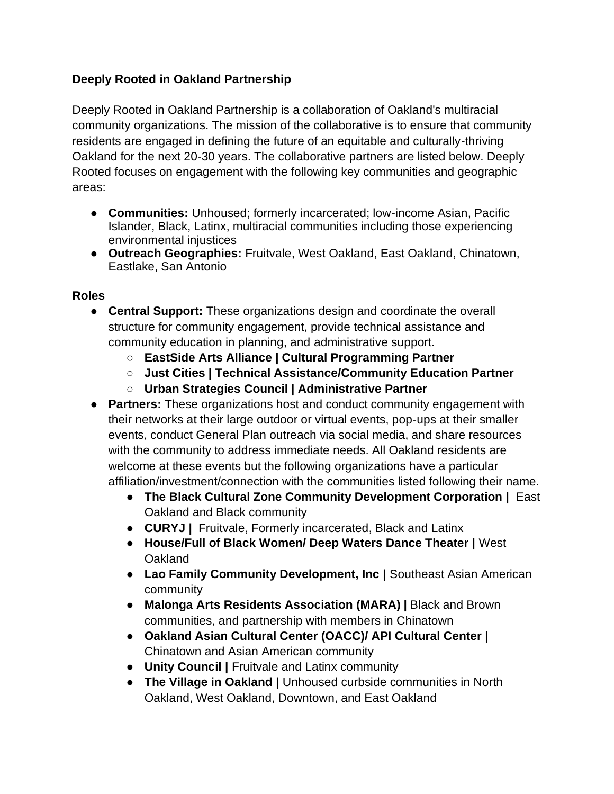## **Deeply Rooted in Oakland Partnership**

Deeply Rooted in Oakland Partnership is a collaboration of Oakland's multiracial community organizations. The mission of the collaborative is to ensure that community residents are engaged in defining the future of an equitable and culturally-thriving Oakland for the next 20-30 years. The collaborative partners are listed below. Deeply Rooted focuses on engagement with the following key communities and geographic areas:

- **Communities:** Unhoused; formerly incarcerated; low-income Asian, Pacific Islander, Black, Latinx, multiracial communities including those experiencing environmental injustices
- **Outreach Geographies:** Fruitvale, West Oakland, East Oakland, Chinatown, Eastlake, San Antonio

## **Roles**

- **Central Support:** These organizations design and coordinate the overall structure for community engagement, provide technical assistance and community education in planning, and administrative support.
	- **EastSide Arts Alliance | Cultural Programming Partner**
	- **Just Cities | Technical Assistance/Community Education Partner**
	- **Urban Strategies Council | Administrative Partner**
- **Partners:** These organizations host and conduct community engagement with their networks at their large outdoor or virtual events, pop-ups at their smaller events, conduct General Plan outreach via social media, and share resources with the community to address immediate needs. All Oakland residents are welcome at these events but the following organizations have a particular affiliation/investment/connection with the communities listed following their name.
	- **The Black Cultural Zone Community Development Corporation |** East Oakland and Black community
	- **CURYJ |** Fruitvale, Formerly incarcerated, Black and Latinx
	- **House/Full of Black Women/ Deep Waters Dance Theater |** West **Oakland**
	- **Lao Family Community Development, Inc |** Southeast Asian American community
	- **Malonga Arts Residents Association (MARA) |** Black and Brown communities, and partnership with members in Chinatown
	- **Oakland Asian Cultural Center (OACC)/ API Cultural Center |**  Chinatown and Asian American community
	- **Unity Council |** Fruitvale and Latinx community
	- **The Village in Oakland |** Unhoused curbside communities in North Oakland, West Oakland, Downtown, and East Oakland